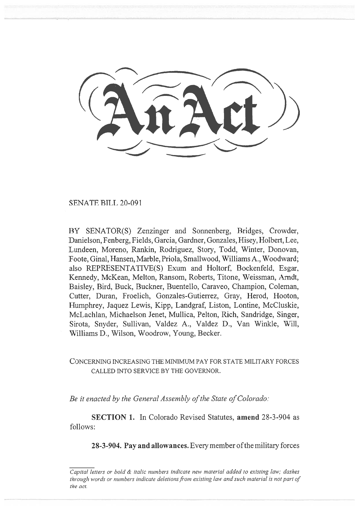SENATE BILL 20-091

BY SENATOR(S) Zenzinger and Sonnenberg, Bridges, Crowder, Danielson, Fenberg, Fields, Garcia, Gardner, Gonzales, Hisey, Holbert, Lee, Lundeen, Moreno, Rankin, Rodriguez, Story, Todd, Winter, Donovan, Foote, Ginal, Hansen, Marble, Priola, Smallwood, Williams A., Woodward; also REPRESENTATIVE(S) Exum and Holtorf, Bockenfeld, Esgar, Kennedy, McKean, Melton, Ransom, Roberts, Titone, Weissman, Arndt, Baisley, Bird, Buck, Buckner, Buentello, Caraveo, Champion, Coleman, Cutter, Duran, Froelich, Gonzales-Gutierrez, Gray, Herod, Hooton, Humphrey, Jaquez Lewis, Kipp, Landgraf, Liston, Lontine, McCluskie, McLachlan, Michaelson Jenet, Mullica, Pelton, Rich, Sandridge, Singer, Sirota, Snyder, Sullivan, Valdez A., Valdez D., Van Winkle, Will, Williams D., Wilson, Woodrow, Young, Becker.

## CONCERNING INCREASING THE MINIMUM PAY FOR STATE MILITARY FORCES CALLED INTO SERVICE BY THE GOVERNOR.

*Be it enacted by the General Assembly of the State of Colorado:* 

**SECTION 1.** In Colorado Revised Statutes, **amend** 28-3-904 as follows:

**28-3-904. Pay and allowances.** Every member of the military forces

*Capital letters or bold & italic numbers indicate new material added to existing law; dashes through words or numbers indicate deletions from existing law and such material is not part of the act.*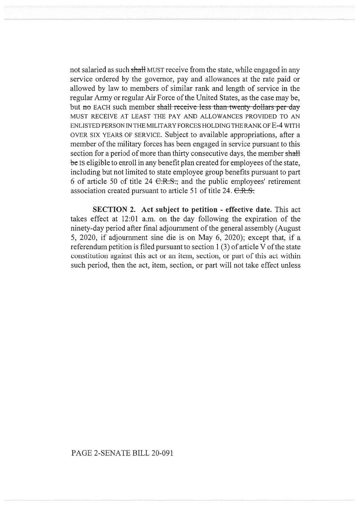not salaried as such shall MUST receive from the state, while engaged in any service ordered by the governor, pay and allowances at the rate paid or allowed by law to members of similar rank and length of service in the regular Army or regular Air Force of the United States, as the case may be, but no EACH such member shall receive less than twenty dollars per day MUST RECEIVE AT LEAST THE PAY AND ALLOWANCES PROVIDED TO AN ENLISTED PERSON IN THE MILITARY FORCES HOLDING THE RANK OF E-4 WITH OVER SIX YEARS OF SERVICE. Subject to available appropriations, after a member of the military forces has been engaged in service pursuant to this section for a period of more than thirty consecutive days, the member shall **be Is** eligible to enroll in any benefit plan created for employees of the state, including but not limited to state employee group benefits pursuant to part 6 of article 50 of title 24  $C.R.S.,$  and the public employees' retirement association created pursuant to article 51 of title  $24. \text{ C.R.S.}$ 

**SECTION 2. Act subject to petition - effective date.** This act takes effect at 12:01 a.m. on the day following the expiration of the ninety-day period after final adjournment of the general assembly (August 5, 2020, if adjournment sine die is on May 6, 2020); except that, if a referendum petition is filed pursuant to section 1(3) of article V of the state constitution against this act or an item, section, or part of this act within such period, then the act, item, section, or part will not take effect unless